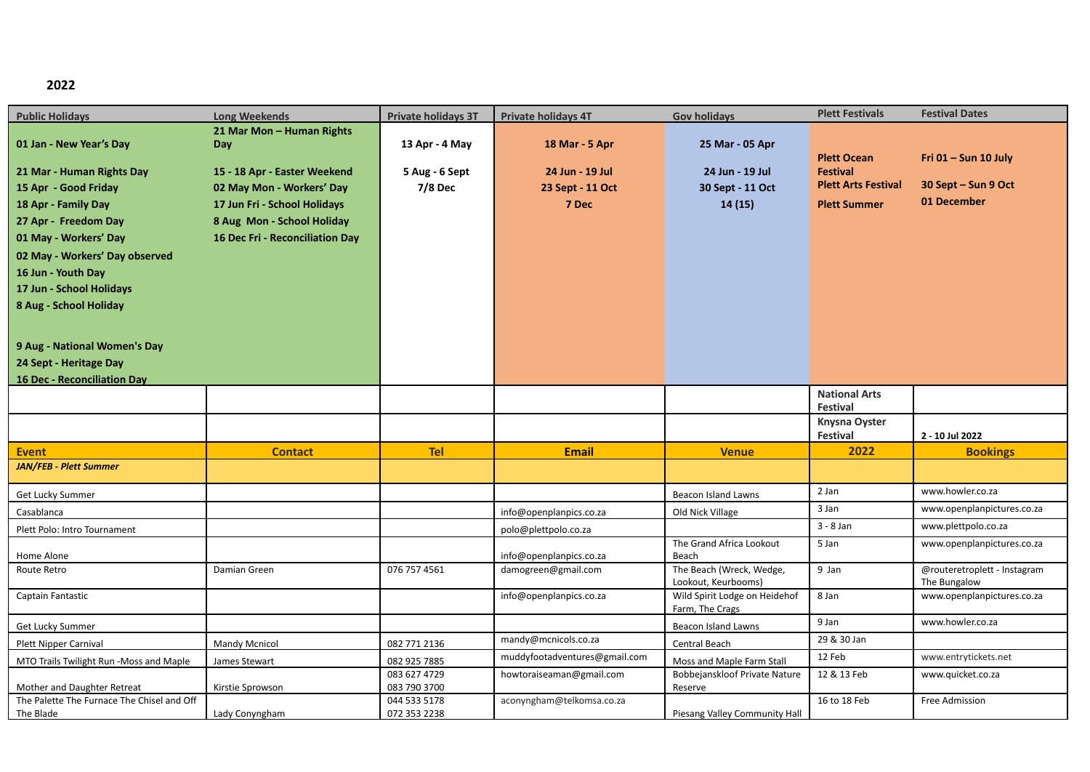## **2022**

| <b>Public Holidays</b>                                                                                                                                                                                                                                                                                                                                             | <b>Long Weekends</b>                                                                                                                                                                           | <b>Private holidays 3T</b>                  | <b>Private holidays 4T</b>                                     | <b>Gov holidays</b>                                              | <b>Plett Festivals</b>                                                                     | <b>Festival Dates</b>                                        |
|--------------------------------------------------------------------------------------------------------------------------------------------------------------------------------------------------------------------------------------------------------------------------------------------------------------------------------------------------------------------|------------------------------------------------------------------------------------------------------------------------------------------------------------------------------------------------|---------------------------------------------|----------------------------------------------------------------|------------------------------------------------------------------|--------------------------------------------------------------------------------------------|--------------------------------------------------------------|
| 01 Jan - New Year's Day<br>21 Mar - Human Rights Day<br>15 Apr - Good Friday<br>18 Apr - Family Day<br>27 Apr - Freedom Day<br>01 May - Workers' Day<br>02 May - Workers' Day observed<br>16 Jun - Youth Day<br>17 Jun - School Holidays<br>8 Aug - School Holiday<br>9 Aug - National Women's Day<br>24 Sept - Heritage Day<br><b>16 Dec - Reconciliation Day</b> | 21 Mar Mon - Human Rights<br>Day<br>15 - 18 Apr - Easter Weekend<br>02 May Mon - Workers' Day<br>17 Jun Fri - School Holidays<br>8 Aug Mon - School Holiday<br>16 Dec Fri - Reconciliation Day | 13 Apr - 4 May<br>5 Aug - 6 Sept<br>7/8 Dec | 18 Mar - 5 Apr<br>24 Jun - 19 Jul<br>23 Sept - 11 Oct<br>7 Dec | 25 Mar - 05 Apr<br>24 Jun - 19 Jul<br>30 Sept - 11 Oct<br>14(15) | <b>Plett Ocean</b><br><b>Festival</b><br><b>Plett Arts Festival</b><br><b>Plett Summer</b> | Fri $01 -$ Sun 10 July<br>30 Sept – Sun 9 Oct<br>01 December |
|                                                                                                                                                                                                                                                                                                                                                                    |                                                                                                                                                                                                |                                             |                                                                |                                                                  | <b>National Arts</b><br><b>Festival</b>                                                    |                                                              |
|                                                                                                                                                                                                                                                                                                                                                                    |                                                                                                                                                                                                |                                             |                                                                |                                                                  | <b>Knysna Oyster</b><br>Festival                                                           | 2 - 10 Jul 2022                                              |
| Event                                                                                                                                                                                                                                                                                                                                                              | <b>Contact</b>                                                                                                                                                                                 | <b>Tel</b>                                  | <b>Email</b>                                                   | <b>Venue</b>                                                     | 2022                                                                                       | <b>Bookings</b>                                              |
| <b>JAN/FEB - Plett Summer</b>                                                                                                                                                                                                                                                                                                                                      |                                                                                                                                                                                                |                                             |                                                                |                                                                  |                                                                                            |                                                              |
| Get Lucky Summer                                                                                                                                                                                                                                                                                                                                                   |                                                                                                                                                                                                |                                             |                                                                | Beacon Island Lawns                                              | 2 Jan                                                                                      | www.howler.co.za                                             |
| Casablanca                                                                                                                                                                                                                                                                                                                                                         |                                                                                                                                                                                                |                                             | info@openplanpics.co.za                                        | Old Nick Village                                                 | 3 Jan                                                                                      | www.openplanpictures.co.za                                   |
| Plett Polo: Intro Tournament                                                                                                                                                                                                                                                                                                                                       |                                                                                                                                                                                                |                                             | polo@plettpolo.co.za                                           |                                                                  | $3 - 8$ Jan                                                                                | www.plettpolo.co.za                                          |
| Home Alone                                                                                                                                                                                                                                                                                                                                                         |                                                                                                                                                                                                |                                             | info@openplanpics.co.za                                        | The Grand Africa Lookout<br>Beach                                | 5 Jan                                                                                      | www.openplanpictures.co.za                                   |
| Route Retro                                                                                                                                                                                                                                                                                                                                                        | Damian Green                                                                                                                                                                                   | 076 757 4561                                | damogreen@gmail.com                                            | The Beach (Wreck, Wedge,<br>Lookout, Keurbooms)                  | 9 Jan                                                                                      | @routeretroplett - Instagram<br>The Bungalow                 |
| Captain Fantastic                                                                                                                                                                                                                                                                                                                                                  |                                                                                                                                                                                                |                                             | info@openplanpics.co.za                                        | Wild Spirit Lodge on Heidehof<br>Farm, The Crags                 | 8 Jan                                                                                      | www.openplanpictures.co.za                                   |
| Get Lucky Summer                                                                                                                                                                                                                                                                                                                                                   |                                                                                                                                                                                                |                                             |                                                                | Beacon Island Lawns                                              | 9 Jan                                                                                      | www.howler.co.za                                             |
| <b>Plett Nipper Carnival</b>                                                                                                                                                                                                                                                                                                                                       | Mandy Mcnicol                                                                                                                                                                                  | 082 771 2136                                | mandy@mcnicols.co.za                                           | Central Beach                                                    | 29 & 30 Jan                                                                                |                                                              |
| MTO Trails Twilight Run -Moss and Maple                                                                                                                                                                                                                                                                                                                            | James Stewart                                                                                                                                                                                  | 082 925 7885                                | muddyfootadventures@gmail.com                                  | Moss and Maple Farm Stall                                        | 12 Feb                                                                                     | www.entrytickets.net                                         |
| Mother and Daughter Retreat                                                                                                                                                                                                                                                                                                                                        | Kirstie Sprowson                                                                                                                                                                               | 083 627 4729<br>083 790 3700                | howtoraiseaman@gmail.com                                       | Bobbejanskloof Private Nature<br>Reserve                         | 12 & 13 Feb                                                                                | www.quicket.co.za                                            |
| The Palette The Furnace The Chisel and Off<br>The Blade                                                                                                                                                                                                                                                                                                            | Lady Conyngham                                                                                                                                                                                 | 044 533 5178<br>072 353 2238                | aconyngham@telkomsa.co.za                                      | Piesang Valley Community Hall                                    | 16 to 18 Feb                                                                               | Free Admission                                               |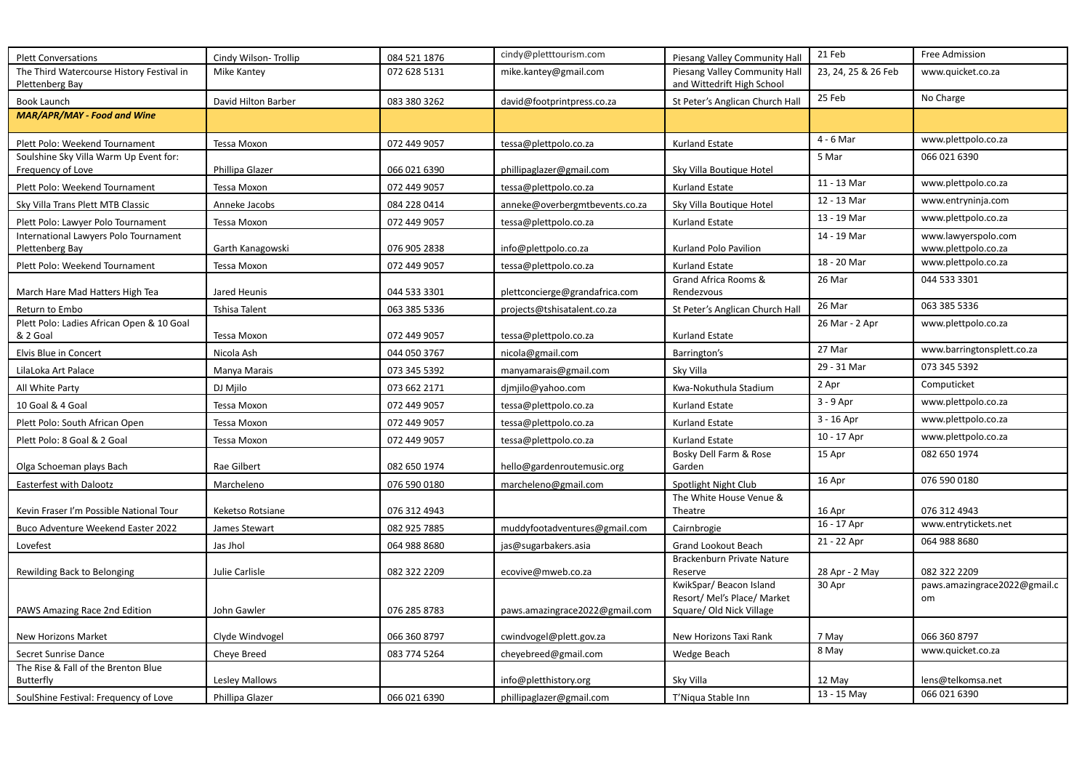| <b>Plett Conversations</b>                                   | Cindy Wilson-Trollip | 084 521 1876 | cindy@pletttourism.com         | Piesang Valley Community Hall                                                      | 21 Feb              | Free Admission                             |
|--------------------------------------------------------------|----------------------|--------------|--------------------------------|------------------------------------------------------------------------------------|---------------------|--------------------------------------------|
| The Third Watercourse History Festival in<br>Plettenberg Bay | Mike Kantey          | 072 628 5131 | mike.kantey@gmail.com          | Piesang Valley Community Hall<br>and Wittedrift High School                        | 23, 24, 25 & 26 Feb | www.quicket.co.za                          |
| Book Launch                                                  | David Hilton Barber  | 083 380 3262 | david@footprintpress.co.za     | St Peter's Anglican Church Hall                                                    | 25 Feb              | No Charge                                  |
| <b>MAR/APR/MAY - Food and Wine</b>                           |                      |              |                                |                                                                                    |                     |                                            |
| Plett Polo: Weekend Tournament                               | Tessa Moxon          | 072 449 9057 | tessa@plettpolo.co.za          | Kurland Estate                                                                     | 4 - 6 Mar           | www.plettpolo.co.za                        |
| Soulshine Sky Villa Warm Up Event for:<br>Frequency of Love  | Phillipa Glazer      | 066 021 6390 | phillipaglazer@gmail.com       | Sky Villa Boutique Hotel                                                           | 5 Mar               | 066 021 6390                               |
| Plett Polo: Weekend Tournament                               | Tessa Moxon          | 072 449 9057 | tessa@plettpolo.co.za          | Kurland Estate                                                                     | 11 - 13 Mar         | www.plettpolo.co.za                        |
| Sky Villa Trans Plett MTB Classic                            | Anneke Jacobs        | 084 228 0414 | anneke@overbergmtbevents.co.za | Sky Villa Boutique Hotel                                                           | 12 - 13 Mar         | www.entryninja.com                         |
| Plett Polo: Lawyer Polo Tournament                           | Tessa Moxon          | 072 449 9057 | tessa@plettpolo.co.za          | Kurland Estate                                                                     | 13 - 19 Mar         | www.plettpolo.co.za                        |
| International Lawyers Polo Tournament<br>Plettenberg Bay     | Garth Kanagowski     | 076 905 2838 | info@plettpolo.co.za           | Kurland Polo Pavilion                                                              | 14 - 19 Mar         | www.lawyerspolo.com<br>www.plettpolo.co.za |
| Plett Polo: Weekend Tournament                               | Tessa Moxon          | 072 449 9057 | tessa@plettpolo.co.za          | Kurland Estate                                                                     | 18 - 20 Mar         | www.plettpolo.co.za                        |
| March Hare Mad Hatters High Tea                              | Jared Heunis         | 044 533 3301 | plettconcierge@grandafrica.com | Grand Africa Rooms &<br>Rendezvous                                                 | 26 Mar              | 044 533 3301                               |
| Return to Embo                                               | Tshisa Talent        | 063 385 5336 | projects@tshisatalent.co.za    | St Peter's Anglican Church Hall                                                    | 26 Mar              | 063 385 5336                               |
| Plett Polo: Ladies African Open & 10 Goal<br>& 2 Goal        | Tessa Moxon          | 072 449 9057 | tessa@plettpolo.co.za          | <b>Kurland Estate</b>                                                              | 26 Mar - 2 Apr      | www.plettpolo.co.za                        |
| Elvis Blue in Concert                                        | Nicola Ash           | 044 050 3767 | nicola@gmail.com               | Barrington's                                                                       | 27 Mar              | www.barringtonsplett.co.za                 |
| LilaLoka Art Palace                                          | Manya Marais         | 073 345 5392 | manyamarais@gmail.com          | Sky Villa                                                                          | 29 - 31 Mar         | 073 345 5392                               |
| All White Party                                              | DJ Mjilo             | 073 662 2171 | djmjilo@yahoo.com              | Kwa-Nokuthula Stadium                                                              | 2 Apr               | Computicket                                |
| 10 Goal & 4 Goal                                             | Tessa Moxon          | 072 449 9057 | tessa@plettpolo.co.za          | <b>Kurland Estate</b>                                                              | $3 - 9$ Apr         | www.plettpolo.co.za                        |
| Plett Polo: South African Open                               | Tessa Moxon          | 072 449 9057 | tessa@plettpolo.co.za          | Kurland Estate                                                                     | 3 - 16 Apr          | www.plettpolo.co.za                        |
| Plett Polo: 8 Goal & 2 Goal                                  | Tessa Moxon          | 072 449 9057 | tessa@plettpolo.co.za          | Kurland Estate                                                                     | 10 - 17 Apr         | www.plettpolo.co.za                        |
| Olga Schoeman plays Bach                                     | Rae Gilbert          | 082 650 1974 | hello@gardenroutemusic.org     | Bosky Dell Farm & Rose<br>Garden                                                   | 15 Apr              | 082 650 1974                               |
| Easterfest with Dalootz                                      | Marcheleno           | 076 590 0180 | marcheleno@gmail.com           | Spotlight Night Club                                                               | 16 Apr              | 076 590 0180                               |
| Kevin Fraser I'm Possible National Tour                      | Keketso Rotsiane     | 076 312 4943 |                                | The White House Venue &<br>Theatre                                                 | 16 Apr              | 076 312 4943                               |
| Buco Adventure Weekend Easter 2022                           | James Stewart        | 082 925 7885 | muddyfootadventures@gmail.com  | Cairnbrogie                                                                        | 16 - 17 Apr         | www.entrytickets.net                       |
| Lovefest                                                     | Jas Jhol             | 064 988 8680 | jas@sugarbakers.asia           | Grand Lookout Beach                                                                | 21 - 22 Apr         | 064 988 8680                               |
| Rewilding Back to Belonging                                  | Julie Carlisle       | 082 322 2209 | ecovive@mweb.co.za             | Brackenburn Private Nature<br>Reserve                                              | 28 Apr - 2 May      | 082 322 2209                               |
| PAWS Amazing Race 2nd Edition                                | John Gawler          | 076 285 8783 | paws.amazingrace2022@gmail.com | KwikSpar/ Beacon Island<br>Resort/ Mel's Place/ Market<br>Square/ Old Nick Village | 30 Apr              | paws.amazingrace2022@gmail.c<br>om         |
| New Horizons Market                                          | Clyde Windvogel      | 066 360 8797 | cwindvogel@plett.gov.za        | New Horizons Taxi Rank                                                             | 7 May               | 066 360 8797                               |
| Secret Sunrise Dance                                         | Cheye Breed          | 083 774 5264 | cheyebreed@gmail.com           | Wedge Beach                                                                        | 8 May               | www.quicket.co.za                          |
| The Rise & Fall of the Brenton Blue<br><b>Butterfly</b>      | Lesley Mallows       |              | info@pletthistory.org          | Sky Villa                                                                          | 12 May              | lens@telkomsa.net                          |
| SoulShine Festival: Frequency of Love                        | Phillipa Glazer      | 066 021 6390 | phillipaglazer@gmail.com       | T'Niqua Stable Inn                                                                 | 13 - 15 May         | 066 021 6390                               |